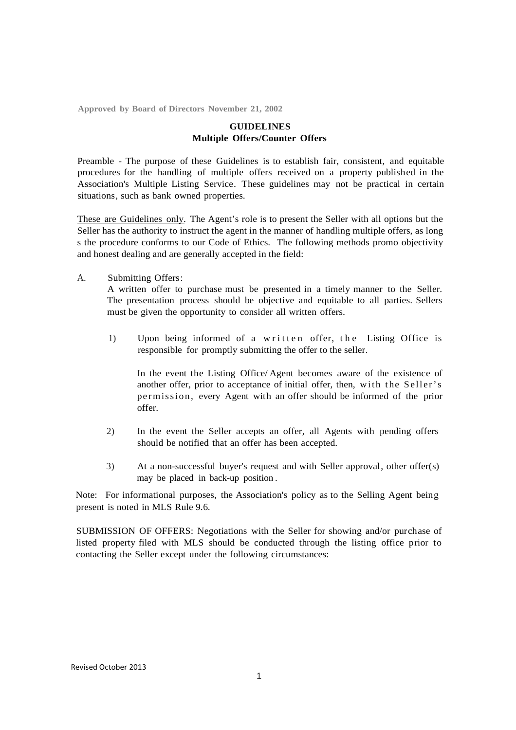**Approved by Board of Directors November 21, 2002**

## **GUIDELINES Multiple Offers/Counter Offers**

Preamble - The purpose of these Guidelines is to establish fair, consistent, and equitable procedures for the handling of multiple offers received on a property published in the Association's Multiple Listing Service. These guidelines may not be practical in certain situations, such as bank owned properties.

These are Guidelines only. The Agent's role is to present the Seller with all options but the Seller has the authority to instruct the agent in the manner of handling multiple offers, as long s the procedure conforms to our Code of Ethics. The following methods promo objectivity and honest dealing and are generally accepted in the field:

A. Submitting Offers :

A written offer to purchase must be presented in a timely manner to the Seller. The presentation process should be objective and equitable to all parties. Sellers must be given the opportunity to consider all written offers.

1) Upon being informed of a written offer, the Listing Office is responsible for promptly submitting the offer to the seller.

In the event the Listing Office/ Agent becomes aware of the existence of another offer, prior to acceptance of initial offer, then, with the Seller's per missi on, every Agent with an offer should be informed of the prior offer.

- 2) In the event the Seller accepts an offer, all Agents with pending offers should be notified that an offer has been accepted.
- 3) At a non-successful buyer's request and with Seller approval , other offer(s) may be placed in back-up position .

Note: For informational purposes, the Association's policy as to the Selling Agent being present is noted in MLS Rule 9.6.

SUBMISSION OF OFFERS: Negotiations with the Seller for showing and/or purchase of listed property filed with MLS should be conducted through the listing office prior to contacting the Seller except under the following circumstances: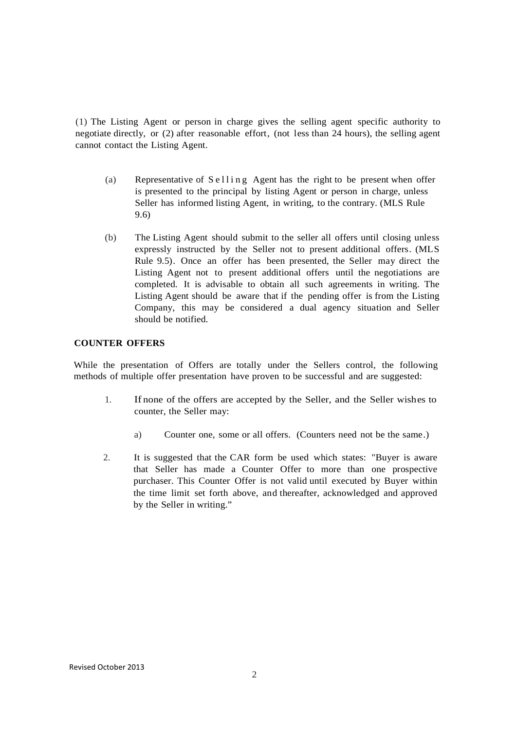(1) The Listing Agent or person in charge gives the selling agent specific authority to negotiate directly, or (2) after reasonable effort, (not less than 24 hours), the selling agent cannot contact the Listing Agent.

- (a) Representative of  $S$  e l l i n g Agent has the right to be present when offer is presented to the principal by listing Agent or person in charge, unless Seller has informed listing Agent, in writing, to the contrary. (MLS Rule 9.6)
- (b) The Listing Agent should submit to the seller all offers until closing unless expressly instructed by the Seller not to present additional offers. (MLS Rule 9.5). Once an offer has been presented, the Seller may direct the Listing Agent not to present additional offers until the negotiations are completed. It is advisable to obtain all such agreements in writing. The Listing Agent should be aware that if the pending offer is from the Listing Company, this may be considered a dual agency situation and Seller should be notified.

# **COUNTER OFFERS**

While the presentation of Offers are totally under the Sellers control, the following methods of multiple offer presentation have proven to be successful and are suggested:

- 1. If none of the offers are accepted by the Seller, and the Seller wishes to counter, the Seller may:
	- a) Counter one, some or all offers. (Counters need not be the same.)
- 2. It is suggested that the CAR form be used which states: "Buyer is aware that Seller has made a Counter Offer to more than one prospective purchaser. This Counter Offer is not valid until executed by Buyer within the time limit set forth above, and thereafter, acknowledged and approved by the Seller in writing."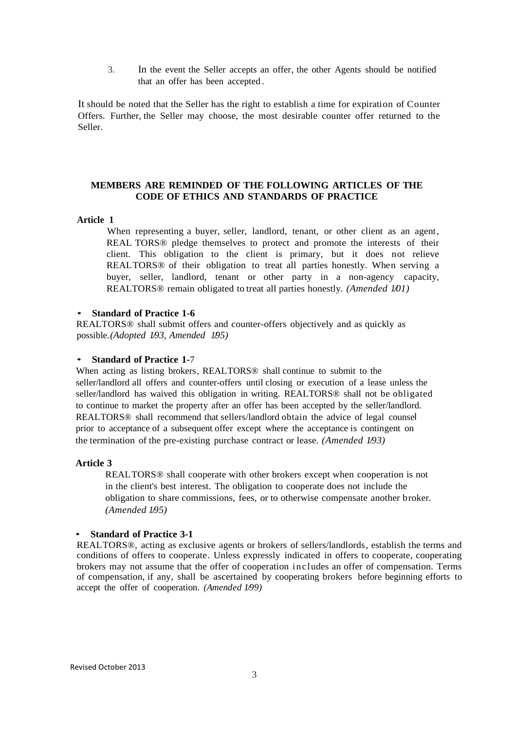3. In the event the Seller accepts an offer, the other Agents should be notified that an offer has been accepted .

It should be noted that the Seller has the right to establish a time for expiration of Counter Offers. Further, the Seller may choose, the most desirable counter offer returned to the Seller.

# **MEMBERS ARE REMINDED OF THE FOLLOWING ARTICLES OF THE CODE OF ETHICS AND STANDARDS OF PRACTICE**

## **Article 1**

When representing a buyer, seller, landlord, tenant, or other client as an agent, REAL TORS® pledge themselves to protect and promote the interests of their client. This obligation to the client is primary, but it does not relieve REALTORS® of their obligation to treat all parties honestly. When serving a buyer, seller, landlord, tenant or other party in a non-agency capacity, REALTORS® remain obligated to treat all parties honestly. *(Amended 1/01)*

#### • **Standard of Practice 1-6**

REALTORS® shall submit offers and counter-offers objectively and as quickly as possible. *(Adopted 1/93, Amended 1/95)*

#### • **Standard of Practice 1-**<sup>7</sup>

When acting as listing brokers, REALTORS<sup>®</sup> shall continue to submit to the seller/landlord all offers and counter-offers until closing or execution of a lease unless the seller/landlord has waived this obligation in writing. REALTORS® shall not be obligated to continue to market the property after an offer has been accepted by the seller/landlord. REALTORS® shall recommend that sellers/landlord obtain the advice of legal counsel prior to acceptance of a subsequent offer except where the acceptance is contingent on the termination of the pre-existing purchase contract or lease. *(Amended 1/93)*

#### **Article 3**

REALTORS® shall cooperate with other brokers except when cooperation is not in the client's best interest. The obligation to cooperate does not include the obligation to share commissions, fees, or to otherwise compensate another broker. *(Amended 195)* 

#### • **Standard of Practice 3-1**

REALTORS®, acting as exclusive agents or brokers of sellers/landlords, establish the terms and conditions of offers to cooperate. Unless expressly indicated in offers to cooperate, cooperating brokers may not assume that the offer of cooperation includes an offer of compensation. Terms of compensation, if any, shall be ascertained by cooperating brokers before beginning efforts to accept the offer of cooperation. *(Amended 1/99)*